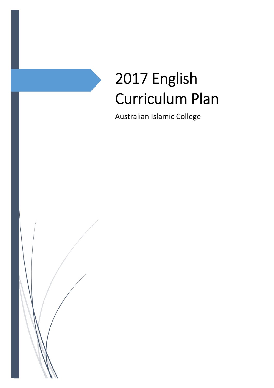# 2017 English Curriculum Plan

Australian Islamic College

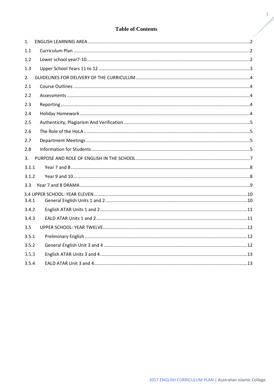#### **Table of Contents**

| 1.    |  |
|-------|--|
| 1.1   |  |
| 1.2   |  |
| 1.3   |  |
| 2.    |  |
| 2.1   |  |
| 2.2   |  |
| 2.3   |  |
| 2.4   |  |
| 2.5   |  |
| 2.6   |  |
| 2.7   |  |
| 2.8   |  |
| 3.    |  |
| 3.1.1 |  |
| 3.1.2 |  |
| 3.3   |  |
| 3.4.1 |  |
| 3.4.2 |  |
| 3.4.3 |  |
| 3.5   |  |
| 3.5.1 |  |
| 3.5.2 |  |
| 3.5.3 |  |
| 3.5.4 |  |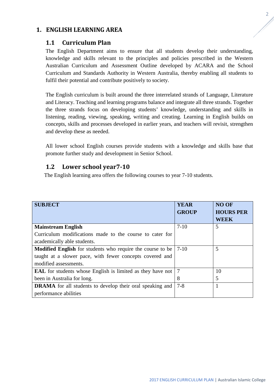## **1. ENGLISH LEARNING AREA**

#### **1.1 Curriculum Plan**

The English Department aims to ensure that all students develop their understanding, knowledge and skills relevant to the principles and policies prescribed in the Western Australian Curriculum and Assessment Outline developed by ACARA and the School Curriculum and Standards Authority in Western Australia, thereby enabling all students to fulfil their potential and contribute positively to society.

The English curriculum is built around the three interrelated strands of Language, Literature and Literacy. Teaching and learning programs balance and integrate all three strands. Together the three strands focus on developing students' knowledge, understanding and skills in listening, reading, viewing, speaking, writing and creating. Learning in English builds on concepts, skills and processes developed in earlier years, and teachers will revisit, strengthen and develop these as needed.

All lower school English courses provide students with a knowledge and skills base that promote further study and development in Senior School.

## **1.2 Lower school year7-10**

The English learning area offers the following courses to year 7-10 students.

| <b>SUBJECT</b>                                                    | <b>YEAR</b><br><b>GROUP</b> | <b>NO OF</b><br><b>HOURS PER</b><br><b>WEEK</b> |
|-------------------------------------------------------------------|-----------------------------|-------------------------------------------------|
| <b>Mainstream English</b>                                         | $7-10$                      | 5                                               |
| Curriculum modifications made to the course to cater for          |                             |                                                 |
| academically able students.                                       |                             |                                                 |
| <b>Modified English</b> for students who require the course to be | $7-10$                      | 5                                               |
| taught at a slower pace, with fewer concepts covered and          |                             |                                                 |
| modified assessments.                                             |                             |                                                 |
| <b>EAL</b> for students whose English is limited as they have not | $\overline{7}$              | 10                                              |
| been in Australia for long.                                       | 8                           | 5                                               |
| <b>DRAMA</b> for all students to develop their oral speaking and  | $7 - 8$                     |                                                 |
| performance abilities                                             |                             |                                                 |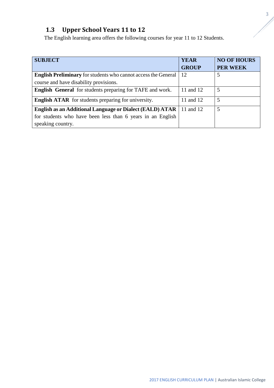# **1.3 Upper School Years 11 to 12**

The English learning area offers the following courses for year 11 to 12 Students.

| <b>SUBJECT</b>                                                        | <b>YEAR</b>  | <b>NO OF HOURS</b> |
|-----------------------------------------------------------------------|--------------|--------------------|
|                                                                       | <b>GROUP</b> | <b>PER WEEK</b>    |
| <b>English Preliminary</b> for students who cannot access the General | 12           | 5                  |
| course and have disability provisions.                                |              |                    |
| English General for students preparing for TAFE and work.             | 11 and 12    | 5                  |
| <b>English ATAR</b> for students preparing for university.            | 11 and 12    | 5                  |
| <b>English as an Additional Language or Dialect (EALD) ATAR</b>       | 11 and 12    | 5                  |
| for students who have been less than 6 years in an English            |              |                    |
| speaking country.                                                     |              |                    |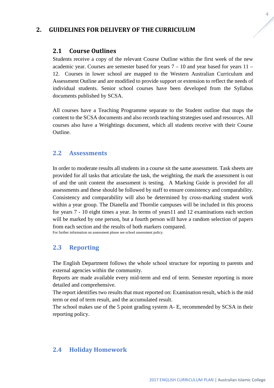## **2. GUIDELINES FOR DELIVERY OF THE CURRICULUM**

#### **2.1 Course Outlines**

Students receive a copy of the relevant Course Outline within the first week of the new academic year. Courses are semester based for years  $7 - 10$  and year based for years  $11 -$ 12. Courses in lower school are mapped to the Western Australian Curriculum and Assessment Outline and are modified to provide support or extension to reflect the needs of individual students. Senior school courses have been developed from the Syllabus documents published by SCSA.

All courses have a Teaching Programme separate to the Student outline that maps the content to the SCSA documents and also records teaching strategies used and resources. All courses also have a Weightings document, which all students receive with their Course Outline.

#### **2.2 Assessments**

In order to moderate results all students in a course sit the same assessment. Task sheets are provided for all tasks that articulate the task, the weighting, the mark the assessment is out of and the unit content the assessment is testing. A Marking Guide is provided for all assessments and these should be followed by staff to ensure consistency and comparability. Consistency and comparability will also be determined by cross-marking student work within a year group. The Dianella and Thornlie campuses will be included in this process for years 7 - 10 eight times a year. In terms of years11 and 12 examinations each section will be marked by one person, but a fourth person will have a random selection of papers from each section and the results of both markers compared.

For further information on assessment please see school assessment policy.

# **2.3 Reporting**

The English Department follows the whole school structure for reporting to parents and external agencies within the community.

Reports are made available every mid-term and end of term. Semester reporting is more detailed and comprehensive.

The report identifies two results that must reported on: Examination result, which is the mid term or end of term result, and the accumulated result.

The school makes use of the 5 point grading system A- E, recommended by SCSA in their reporting policy.

#### **2.4 Holiday Homework**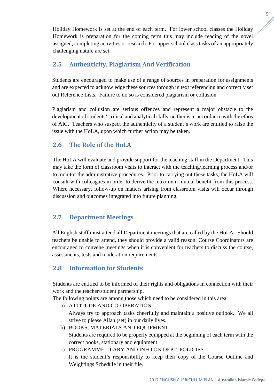Holiday Homework is set at the end of each term. For lower school classes the Holiday Homework is preparation for the coming term this may include reading of the novel assigned, completing activities or research. For upper school class tasks of an appropriately challenging nature are set.

# **2.5 Authenticity, Plagiarism And Verification**

Students are encouraged to make use of a range of sources in preparation for assignments and are expected to acknowledge these sources through in text referencing and correctly set out Reference Lists. Failure to do so is considered plagiarism or collusion

Plagiarism and collusion are serious offences and represent a major obstacle to the development of students' critical and analytical skills neither is in accordance with the ethos of AIC. Teachers who suspect the authenticity of a student's work are entitled to raise the issue with the HoLA, upon which further action may be taken.

# **2.6 The Role of the HoLA**

The HoLA will evaluate and provide support for the teaching staff in the Department. This may take the form of classroom visits to interact with the teaching/learning process and/or to monitor the administrative procedures. Prior to carrying out these tasks, the HoLA will consult with colleagues in order to derive the maximum mutual benefit from this process. Where necessary, follow-up on matters arising from classroom visits will occur through discussion and outcomes integrated into future planning.

# **2.7 Department Meetings**

All English staff must attend all Department meetings that are called by the HoLA. Should teachers be unable to attend, they should provide a valid reason. Course Coordinators are encouraged to convene meetings when it is convenient for teachers to discuss the course, assessments, tests and moderation requirements.

# **2.8 Information for Students**

Students are entitled to be informed of their rights and obligations in connection with their work and the teacher/student partnership.

The following points are among those which need to be considered in this area:

- a) ATTITUDE AND CO-OPERATION Always try to approach tasks cheerfully and maintain a positive outlook. We all strive to please Allah (set) in our daily lives.
- b) BOOKS, MATERIALS AND EQUIPMENT Students are required to be properly equipped at the beginning of each term with the correct books, stationary and equipment.
- c) PROGRAMME, DIARY AND INFO ON DEPT. POLICIES It is the student's responsibility to keep their copy of the Course Outline and Weightings Schedule in their file.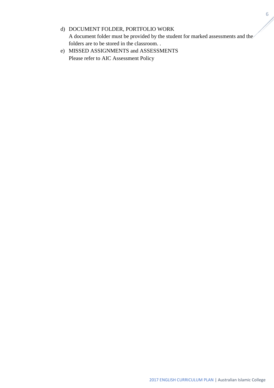# d) DOCUMENT FOLDER, PORTFOLIO WORK A document folder must be provided by the student for marked assessments and the folders are to be stored in the classroom. .

e) MISSED ASSIGNMENTS and ASSESSMENTS Please refer to AIC Assessment Policy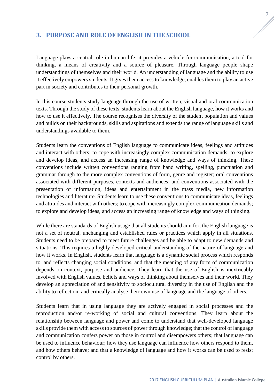## **3. PURPOSE AND ROLE OF ENGLISH IN THE SCHOOL**

Language plays a central role in human life: it provides a vehicle for communication, a tool for thinking, a means of creativity and a source of pleasure. Through language people shape understandings of themselves and their world. An understanding of language and the ability to use it effectively empowers students. It gives them access to knowledge, enables them to play an active part in society and contributes to their personal growth.

In this course students study language through the use of written, visual and oral communication texts. Through the study of these texts, students learn about the English language, how it works and how to use it effectively. The course recognises the diversity of the student population and values and builds on their backgrounds, skills and aspirations and extends the range of language skills and understandings available to them.

Students learn the conventions of English language to communicate ideas, feelings and attitudes and interact with others; to cope with increasingly complex communication demands; to explore and develop ideas, and access an increasing range of knowledge and ways of thinking. These conventions include written conventions ranging from hand writing, spelling, punctuation and grammar through to the more complex conventions of form, genre and register; oral conventions associated with different purposes, contexts and audiences; and conventions associated with the presentation of information, ideas and entertainment in the mass media, new information technologies and literature. Students learn to use these conventions to communicate ideas, feelings and attitudes and interact with others; to cope with increasingly complex communication demands; to explore and develop ideas, and access an increasing range of knowledge and ways of thinking.

While there are standards of English usage that all students should aim for, the English language is not a set of neutral, unchanging and established rules or practices which apply in all situations. Students need to be prepared to meet future challenges and be able to adapt to new demands and situations. This requires a highly developed critical understanding of the nature of language and how it works. In English, students learn that language is a dynamic social process which responds to, and reflects changing social conditions, and that the meaning of any form of communication depends on context, purpose and audience. They learn that the use of English is inextricably involved with English values, beliefs and ways of thinking about themselves and their world. They develop an appreciation of and sensitivity to sociocultural diversity in the use of English and the ability to reflect on, and critically analyse their own use of language and the language of others.

Students learn that in using language they are actively engaged in social processes and the reproduction and/or re-working of social and cultural conventions. They learn about the relationship between language and power and come to understand that well-developed language skills provide them with access to sources of power through knowledge; that the control of language and communication confers power on those in control and disempowers others; that language can be used to influence behaviour; how they use language can influence how others respond to them, and how others behave; and that a knowledge of language and how it works can be used to resist control by others.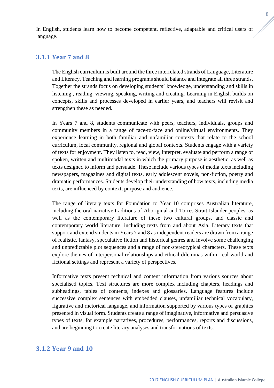In English, students learn how to become competent, reflective, adaptable and critical users of language.

#### **3.1.1 Year 7 and 8**

The English curriculum is built around the three interrelated strands of Language, Literature and Literacy. Teaching and learning programs should balance and integrate all three strands. Together the strands focus on developing students' knowledge, understanding and skills in listening , reading, viewing, speaking, writing and creating. Learning in English builds on concepts, skills and processes developed in earlier years, and teachers will revisit and strengthen these as needed.

In Years 7 and 8, students communicate with peers, teachers, individuals, groups and community members in a range of face-to-face and online/virtual environments. They experience learning in both familiar and unfamiliar contexts that relate to the school curriculum, local community, regional and global contexts. Students engage with a variety of texts for enjoyment. They listen to, read, view, interpret, evaluate and perform a range of spoken, written and multimodal texts in which the primary purpose is aesthetic, as well as texts designed to inform and persuade. These include various types of media texts including newspapers, magazines and digital texts, early adolescent novels, non-fiction, poetry and dramatic performances. Students develop their understanding of how texts, including media texts, are influenced by context, purpose and audience.

The range of literary texts for Foundation to Year 10 comprises Australian literature, including the oral narrative traditions of Aboriginal and Torres Strait Islander peoples, as well as the contemporary literature of these two cultural groups, and classic and contemporary world literature, including texts from and about Asia. Literary texts that support and extend students in Years 7 and 8 as independent readers are drawn from a range of realistic, fantasy, speculative fiction and historical genres and involve some challenging and unpredictable plot sequences and a range of non-stereotypical characters. These texts explore themes of interpersonal relationships and ethical dilemmas within real-world and fictional settings and represent a variety of perspectives.

Informative texts present technical and content information from various sources about specialised topics. Text structures are more complex including chapters, headings and subheadings, tables of contents, indexes and glossaries. Language features include successive complex sentences with embedded clauses, unfamiliar technical vocabulary, figurative and rhetorical language, and information supported by various types of graphics presented in visual form. Students create a range of imaginative, informative and persuasive types of texts, for example narratives, procedures, performances, reports and discussions, and are beginning to create literary analyses and transformations of texts.

#### **3.1.2 Year 9 and 10**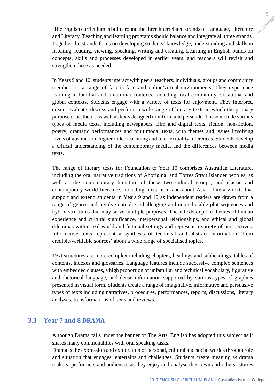The English curriculum is built around the three interrelated strands of Language, Literature and Literacy. Teaching and learning programs should balance and integrate all three strands. Together the strands focus on developing students' knowledge, understanding and skills in listening, reading, viewing, speaking, writing and creating. Learning in English builds on concepts, skills and processes developed in earlier years, and teachers will revisit and strengthen these as needed.

In Years 9 and 10, students interact with peers, teachers, individuals, groups and community members in a range of face-to-face and online/virtual environments. They experience learning in familiar and unfamiliar contexts, including local community, vocational and global contexts. Students engage with a variety of texts for enjoyment. They interpret, create, evaluate, discuss and perform a wide range of literary texts in which the primary purpose is aesthetic, as well as texts designed to inform and persuade. These include various types of media texts, including newspapers, film and digital texts, fiction, non-fiction, poetry, dramatic performances and multimodal texts, with themes and issues involving levels of abstraction, higher order reasoning and intertextuality references. Students develop a critical understanding of the contemporary media, and the differences between media texts.

The range of literary texts for Foundation to Year 10 comprises Australian Literature, including the oral narrative traditions of Aboriginal and Torres Strait Islander peoples, as well as the contemporary literature of these two cultural groups, and classic and contemporary world literature, including texts from and about Asia. Literary texts that support and extend students in Years 9 and 10 as independent readers are drawn from a range of genres and involve complex, challenging and unpredictable plot sequences and hybrid structures that may serve multiple purposes. These texts explore themes of human experience and cultural significance, interpersonal relationships, and ethical and global dilemmas within real-world and fictional settings and represent a variety of perspectives. Informative texts represent a synthesis of technical and abstract information (from credible/verifiable sources) about a wide range of specialised topics.

Text structures are more complex including chapters, headings and subheadings, tables of contents, indexes and glossaries. Language features include successive complex sentences with embedded clauses, a high proportion of unfamiliar and technical vocabulary, figurative and rhetorical language, and dense information supported by various types of graphics presented in visual form. Students create a range of imaginative, informative and persuasive types of texts including narratives, procedures, performances, reports, discussions, literary analyses, transformations of texts and reviews.

## **3.3 Year 7 and 8 DRAMA**

Although Drama falls under the banner of The Arts, English has adopted this subject as it shares many commonalities with oral speaking tasks.

Drama is the expression and exploration of personal, cultural and social worlds through role and situation that engages, entertains and challenges. Students create meaning as drama makers, performers and audiences as they enjoy and analyse their own and others' stories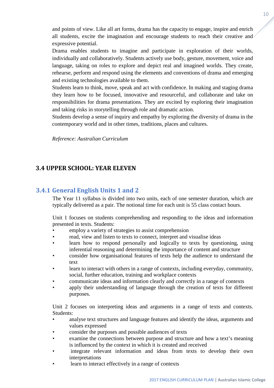and points of view. Like all art forms, drama has the capacity to engage, inspire and enrich all students, excite the imagination and encourage students to reach their creative and expressive potential.

Drama enables students to imagine and participate in exploration of their worlds, individually and collaboratively. Students actively use body, gesture, movement, voice and language, taking on roles to explore and depict real and imagined worlds. They create, rehearse, perform and respond using the elements and conventions of drama and emerging and existing technologies available to them.

Students learn to think, move, speak and act with confidence. In making and staging drama they learn how to be focused, innovative and resourceful, and collaborate and take on responsibilities for drama presentations. They are excited by exploring their imagination and taking risks in storytelling through role and dramatic action.

Students develop a sense of inquiry and empathy by exploring the diversity of drama in the contemporary world and in other times, traditions, places and cultures.

*Reference: Australian Curriculum*

# **3.4 UPPER SCHOOL: YEAR ELEVEN**

## **3.4.1 General English Units 1 and 2**

The Year 11 syllabus is divided into two units, each of one semester duration, which are typically delivered as a pair. The notional time for each unit is 55 class contact hours.

Unit 1 focuses on students comprehending and responding to the ideas and information presented in texts. Students:

- employ a variety of strategies to assist comprehension
- read, view and listen to texts to connect, interpret and visualise ideas
- learn how to respond personally and logically to texts by questioning, using inferential reasoning and determining the importance of content and structure
- consider how organisational features of texts help the audience to understand the text
- learn to interact with others in a range of contexts, including everyday, community, social, further education, training and workplace contexts
- communicate ideas and information clearly and correctly in a range of contexts
- apply their understanding of language through the creation of texts for different purposes.

Unit 2 focuses on interpreting ideas and arguments in a range of texts and contexts. Students:

- analyse text structures and language features and identify the ideas, arguments and values expressed
- consider the purposes and possible audiences of texts
- examine the connections between purpose and structure and how a text's meaning is influenced by the context in which it is created and received
- integrate relevant information and ideas from texts to develop their own interpretations
- learn to interact effectively in a range of contexts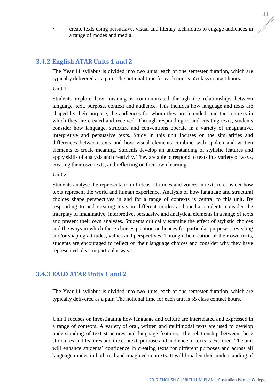• create texts using persuasive, visual and literary techniques to engage audiences in a range of modes and media.

#### **3.4.2 English ATAR Units 1 and 2**

The Year 11 syllabus is divided into two units, each of one semester duration, which are typically delivered as a pair. The notional time for each unit is 55 class contact hours.

Unit 1

Students explore how meaning is communicated through the relationships between language, text, purpose, context and audience. This includes how language and texts are shaped by their purpose, the audiences for whom they are intended, and the contexts in which they are created and received. Through responding to and creating texts, students consider how language, structure and conventions operate in a variety of imaginative, interpretive and persuasive texts. Study in this unit focuses on the similarities and differences between texts and how visual elements combine with spoken and written elements to create meaning. Students develop an understanding of stylistic features and apply skills of analysis and creativity. They are able to respond to texts in a variety of ways, creating their own texts, and reflecting on their own learning.

#### Unit 2

Students analyse the representation of ideas, attitudes and voices in texts to consider how texts represent the world and human experience. Analysis of how language and structural choices shape perspectives in and for a range of contexts is central to this unit. By responding to and creating texts in different modes and media, students consider the interplay of imaginative, interpretive, persuasive and analytical elements in a range of texts and present their own analyses. Students critically examine the effect of stylistic choices and the ways in which these choices position audiences for particular purposes, revealing and/or shaping attitudes, values and perspectives. Through the creation of their own texts, students are encouraged to reflect on their language choices and consider why they have represented ideas in particular ways.

#### **3.4.3 EALD ATAR Units 1 and 2**

The Year 11 syllabus is divided into two units, each of one semester duration, which are typically delivered as a pair. The notional time for each unit is 55 class contact hours.

Unit 1 focuses on investigating how language and culture are interrelated and expressed in a range of contexts. A variety of oral, written and multimodal texts are used to develop understanding of text structures and language features. The relationship between these structures and features and the context, purpose and audience of texts is explored. The unit will enhance students' confidence in creating texts for different purposes and across all language modes in both real and imagined contexts. It will broaden their understanding of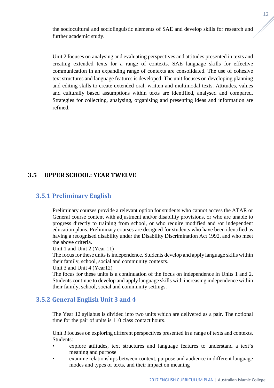the sociocultural and sociolinguistic elements of SAE and develop skills for research and further academic study.

Unit 2 focuses on analysing and evaluating perspectives and attitudes presented in texts and creating extended texts for a range of contexts. SAE language skills for effective communication in an expanding range of contexts are consolidated. The use of cohesive text structures and language features is developed. The unit focuses on developing planning and editing skills to create extended oral, written and multimodal texts. Attitudes, values and culturally based assumptions within texts are identified, analysed and compared. Strategies for collecting, analysing, organising and presenting ideas and information are refined.

# **3.5 UPPER SCHOOL: YEAR TWELVE**

# **3.5.1 Preliminary English**

Preliminary courses provide a relevant option for students who cannot access the ATAR or General course content with adjustment and/or disability provisions, or who are unable to progress directly to training from school, or who require modified and /or independent education plans. Preliminary courses are designed for students who have been identified as having a recognised disability under the Disability Discrimination Act 1992, and who meet the above criteria.

Unit 1 and Unit 2 (Year 11)

The focus for these units is independence. Students develop and apply language skills within their family, school, social and community contexts.

Unit 3 and Unit 4 (Year12)

The focus for these units is a continuation of the focus on independence in Units 1 and 2. Students continue to develop and apply language skills with increasing independence within their family, school, social and community settings.

## **3.5.2 General English Unit 3 and 4**

The Year 12 syllabus is divided into two units which are delivered as a pair. The notional time for the pair of units is 110 class contact hours.

Unit 3 focuses on exploring different perspectives presented in a range of texts and contexts. Students:

- explore attitudes, text structures and language features to understand a text's meaning and purpose
- examine relationships between context, purpose and audience in different language modes and types of texts, and their impact on meaning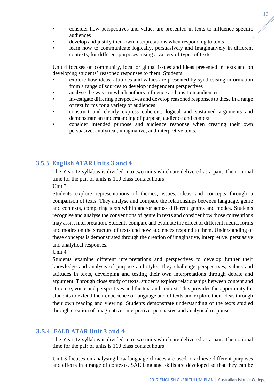- consider how perspectives and values are presented in texts to influence specific audiences
- develop and justify their own interpretations when responding to texts
- learn how to communicate logically, persuasively and imaginatively in different contexts, for different purposes, using a variety of types of texts.

Unit 4 focuses on community, local or global issues and ideas presented in texts and on developing students' reasoned responses to them. Students:

- explore how ideas, attitudes and values are presented by synthesising information from a range of sources to develop independent perspectives
- analyse the ways in which authors influence and position audiences
- investigate differing perspectives and develop reasoned responses to these in a range of text forms for a variety of audiences
- construct and clearly express coherent, logical and sustained arguments and demonstrate an understanding of purpose, audience and context
- consider intended purpose and audience response when creating their own persuasive, analytical, imaginative, and interpretive texts.

## **3.5.3 English ATAR Units 3 and 4**

The Year 12 syllabus is divided into two units which are delivered as a pair. The notional time for the pair of units is 110 class contact hours.

Unit 3

Students explore representations of themes, issues, ideas and concepts through a comparison of texts. They analyse and compare the relationships between language, genre and contexts, comparing texts within and/or across different genres and modes. Students recognise and analyse the conventions of genre in texts and consider how those conventions may assist interpretation. Students compare and evaluate the effect of different media, forms and modes on the structure of texts and how audiences respond to them. Understanding of these concepts is demonstrated through the creation of imaginative, interpretive, persuasive and analytical responses.

Unit 4

Students examine different interpretations and perspectives to develop further their knowledge and analysis of purpose and style. They challenge perspectives, values and attitudes in texts, developing and testing their own interpretations through debate and argument. Through close study of texts, students explore relationships between content and structure, voice and perspectives and the text and context. This provides the opportunity for students to extend their experience of language and of texts and explore their ideas through their own reading and viewing. Students demonstrate understanding of the texts studied through creation of imaginative, interpretive, persuasive and analytical responses.

## **3.5.4 EALD ATAR Unit 3 and 4**

The Year 12 syllabus is divided into two units which are delivered as a pair. The notional time for the pair of units is 110 class contact hours.

Unit 3 focuses on analysing how language choices are used to achieve different purposes and effects in a range of contexts. SAE language skills are developed so that they can be